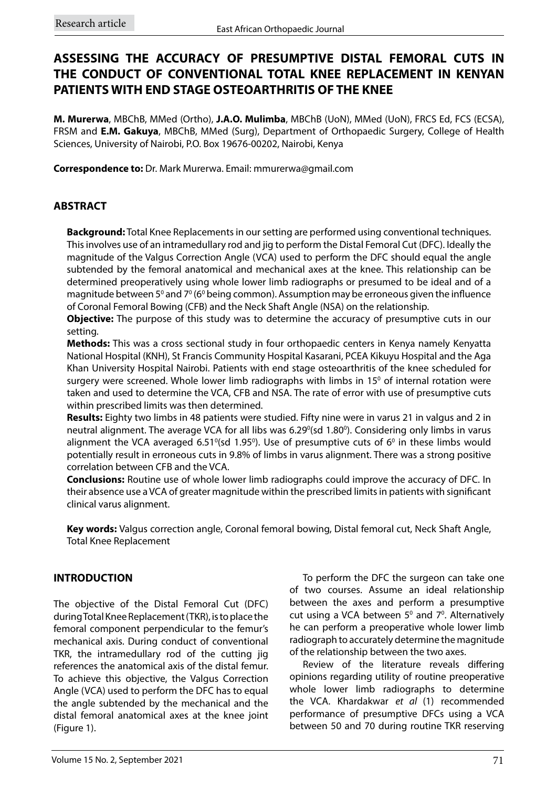## **ASSESSING THE ACCURACY OF PRESUMPTIVE DISTAL FEMORAL CUTS IN THE CONDUCT OF CONVENTIONAL TOTAL KNEE REPLACEMENT IN KENYAN PATIENTS WITH END STAGE OSTEOARTHRITIS OF THE KNEE**

**M. Murerwa**, MBChB, MMed (Ortho), **J.A.O. Mulimba**, MBChB (UoN), MMed (UoN), FRCS Ed, FCS (ECSA), FRSM and **E.M. Gakuya**, MBChB, MMed (Surg), Department of Orthopaedic Surgery, College of Health Sciences, University of Nairobi, P.O. Box 19676-00202, Nairobi, Kenya

**Correspondence to:** Dr. Mark Murerwa. Email: mmurerwa@gmail.com

## **ABSTRACT**

**Background:** Total Knee Replacements in our setting are performed using conventional techniques. This involves use of an intramedullary rod and jig to perform the Distal Femoral Cut (DFC). Ideally the magnitude of the Valgus Correction Angle (VCA) used to perform the DFC should equal the angle subtended by the femoral anatomical and mechanical axes at the knee. This relationship can be determined preoperatively using whole lower limb radiographs or presumed to be ideal and of a magnitude between 5º and 7º (6º being common). Assumption may be erroneous given the influence of Coronal Femoral Bowing (CFB) and the Neck Shaft Angle (NSA) on the relationship.

**Objective:** The purpose of this study was to determine the accuracy of presumptive cuts in our setting.

**Methods:** This was a cross sectional study in four orthopaedic centers in Kenya namely Kenyatta National Hospital (KNH), St Francis Community Hospital Kasarani, PCEA Kikuyu Hospital and the Aga Khan University Hospital Nairobi. Patients with end stage osteoarthritis of the knee scheduled for surgery were screened. Whole lower limb radiographs with limbs in 15 $<sup>0</sup>$  of internal rotation were</sup> taken and used to determine the VCA, CFB and NSA. The rate of error with use of presumptive cuts within prescribed limits was then determined.

**Results:** Eighty two limbs in 48 patients were studied. Fifty nine were in varus 21 in valgus and 2 in neutral alignment. The average VCA for all libs was 6.29<sup>o</sup>(sd 1.80<sup>o</sup>). Considering only limbs in varus alignment the VCA averaged 6.51 $\degree$ (sd 1.95 $\degree$ ). Use of presumptive cuts of 6 $\degree$  in these limbs would potentially result in erroneous cuts in 9.8% of limbs in varus alignment. There was a strong positive correlation between CFB and the VCA.

**Conclusions:** Routine use of whole lower limb radiographs could improve the accuracy of DFC. In their absence use a VCA of greater magnitude within the prescribed limits in patients with significant clinical varus alignment.

**Key words:** Valgus correction angle, Coronal femoral bowing, Distal femoral cut, Neck Shaft Angle, Total Knee Replacement

## **INTRODUCTION**

The objective of the Distal Femoral Cut (DFC) during Total Knee Replacement (TKR), is to place the femoral component perpendicular to the femur's mechanical axis. During conduct of conventional TKR, the intramedullary rod of the cutting jig references the anatomical axis of the distal femur. To achieve this objective, the Valgus Correction Angle (VCA) used to perform the DFC has to equal the angle subtended by the mechanical and the distal femoral anatomical axes at the knee joint (Figure 1).

To perform the DFC the surgeon can take one of two courses. Assume an ideal relationship between the axes and perform a presumptive cut using a VCA between  $5^{\circ}$  and  $7^{\circ}$ . Alternatively he can perform a preoperative whole lower limb radiograph to accurately determine the magnitude of the relationship between the two axes.

Review of the literature reveals differing opinions regarding utility of routine preoperative whole lower limb radiographs to determine the VCA. Khardakwar *et al* (1) recommended performance of presumptive DFCs using a VCA between 50 and 70 during routine TKR reserving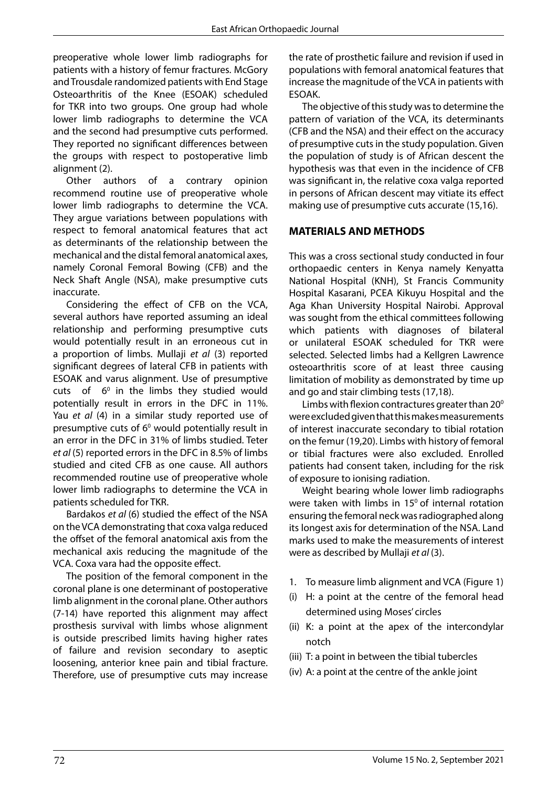preoperative whole lower limb radiographs for patients with a history of femur fractures. McGory and Trousdale randomized patients with End Stage Osteoarthritis of the Knee (ESOAK) scheduled for TKR into two groups. One group had whole lower limb radiographs to determine the VCA and the second had presumptive cuts performed. They reported no significant differences between the groups with respect to postoperative limb alignment (2).

Other authors of a contrary opinion recommend routine use of preoperative whole lower limb radiographs to determine the VCA. They argue variations between populations with respect to femoral anatomical features that act as determinants of the relationship between the mechanical and the distal femoral anatomical axes, namely Coronal Femoral Bowing (CFB) and the Neck Shaft Angle (NSA), make presumptive cuts inaccurate.

Considering the effect of CFB on the VCA, several authors have reported assuming an ideal relationship and performing presumptive cuts would potentially result in an erroneous cut in a proportion of limbs. Mullaji *et al* (3) reported significant degrees of lateral CFB in patients with ESOAK and varus alignment. Use of presumptive cuts of  $6^{\circ}$  in the limbs they studied would potentially result in errors in the DFC in 11%. Yau *et al* (4) in a similar study reported use of presumptive cuts of  $6^{\circ}$  would potentially result in an error in the DFC in 31% of limbs studied. Teter *et al* (5) reported errors in the DFC in 8.5% of limbs studied and cited CFB as one cause. All authors recommended routine use of preoperative whole lower limb radiographs to determine the VCA in patients scheduled for TKR.

Bardakos *et al* (6) studied the effect of the NSA on the VCA demonstrating that coxa valga reduced the offset of the femoral anatomical axis from the mechanical axis reducing the magnitude of the VCA. Coxa vara had the opposite effect.

The position of the femoral component in the coronal plane is one determinant of postoperative limb alignment in the coronal plane. Other authors (7-14) have reported this alignment may affect prosthesis survival with limbs whose alignment is outside prescribed limits having higher rates of failure and revision secondary to aseptic loosening, anterior knee pain and tibial fracture. Therefore, use of presumptive cuts may increase the rate of prosthetic failure and revision if used in populations with femoral anatomical features that increase the magnitude of the VCA in patients with ESOAK.

The objective of this study was to determine the pattern of variation of the VCA, its determinants (CFB and the NSA) and their effect on the accuracy of presumptive cuts in the study population. Given the population of study is of African descent the hypothesis was that even in the incidence of CFB was significant in, the relative coxa valga reported in persons of African descent may vitiate its effect making use of presumptive cuts accurate (15,16).

#### **MATERIALS AND METHODS**

This was a cross sectional study conducted in four orthopaedic centers in Kenya namely Kenyatta National Hospital (KNH), St Francis Community Hospital Kasarani, PCEA Kikuyu Hospital and the Aga Khan University Hospital Nairobi. Approval was sought from the ethical committees following which patients with diagnoses of bilateral or unilateral ESOAK scheduled for TKR were selected. Selected limbs had a Kellgren Lawrence osteoarthritis score of at least three causing limitation of mobility as demonstrated by time up and go and stair climbing tests (17,18).

Limbs with flexion contractures greater than  $20^{\circ}$ were excluded given that this makes measurements of interest inaccurate secondary to tibial rotation on the femur (19,20). Limbs with history of femoral or tibial fractures were also excluded. Enrolled patients had consent taken, including for the risk of exposure to ionising radiation.

Weight bearing whole lower limb radiographs were taken with limbs in  $15^{\circ}$  of internal rotation ensuring the femoral neck was radiographed along its longest axis for determination of the NSA. Land marks used to make the measurements of interest were as described by Mullaji *et al* (3).

- 1. To measure limb alignment and VCA (Figure 1)
- (i) H: a point at the centre of the femoral head determined using Moses' circles
- (ii) K: a point at the apex of the intercondylar notch
- (iii) T: a point in between the tibial tubercles
- (iv) A: a point at the centre of the ankle joint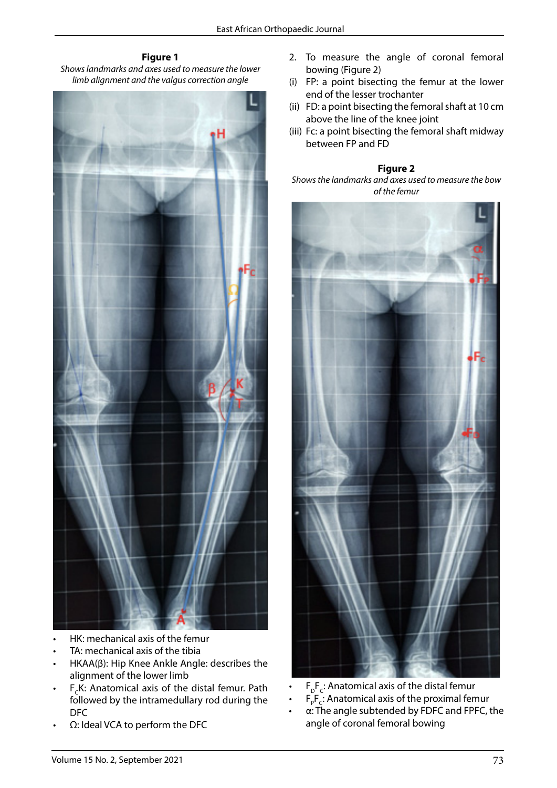#### **Figure 1** *Shows landmarks and axes used to measure the lower*  **Figure 1:**  *limb alignment and the valgus correction angle*



- HK: mechanical axis of the femur
- TA: mechanical axis of the tibia
- α. The measure and so the abla<br>• HKAA(β): Hip Knee Ankle Angle: describes the alignment of the lower limb
- tomical axis of the distal femur. Path  $\cdot$  F<sub>D</sub>F<sub>C</sub>: Anatomical axis of the distal femur followed by the intramedullary rod during the<br>---F<sub>c</sub>K: Anatomical axis of the distal femur. Path DFC
- $\Omega$ : Ideal VCA to perform the DFC
- 2. To measure the angle of coronal femoral bowing (Figure 2)
- (i) FP: a point bisecting the femur at the lower end of the lesser trochanter
- (ii) FD: a point bisecting the femoral shaft at 10 cm above the line of the knee joint
- (iii) Fc: a point bisecting the femoral shaft midway between FP and FD

# **Figure 2 Figure 2:**

*Shows the landmarks and axes used to measure the bow of the femur*



tests.

- F<sub>P</sub>F<sub>c</sub>: Anatomical axis of the proximal femur
- angle subtended by TDIC and FTIC, the instruction of the interest of the interest of the interest were measured in the interest of the interest of the interest of the interest of the interest of the interest of the interes  $\alpha$ : The angle subtended by FDFC and FPFC, the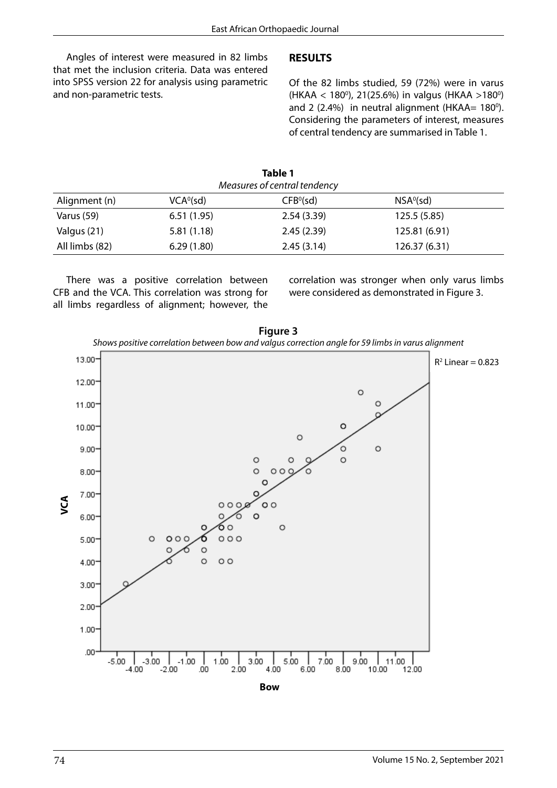Angles of interest were measured in 82 limbs that met the inclusion criteria. Data was entered into SPSS version 22 for analysis using parametric and non-parametric tests.

#### **RESULTS**

Of the 82 limbs studied, 59 (72%) were in varus (HKAA < 180<sup>0</sup>), 21(25.6%) in valgus (HKAA >180<sup>0</sup>) and 2  $(2.4%)$  in neutral alignment (HKAA= 180<sup>o</sup>). Considering the parameters of interest, measures of central tendency are summarised in Table 1.

|                              |                       | Table 1               |                       |  |  |  |  |  |
|------------------------------|-----------------------|-----------------------|-----------------------|--|--|--|--|--|
| Measures of central tendency |                       |                       |                       |  |  |  |  |  |
| Alignment (n)                | VCA <sup>0</sup> (sd) | CFB <sup>0</sup> (sd) | NSA <sup>0</sup> (sd) |  |  |  |  |  |
| Varus (59)                   | 6.51(1.95)            | 2.54(3.39)            | 125.5 (5.85)          |  |  |  |  |  |
| Valgus (21)                  | 5.81(1.18)            | 2.45(2.39)            | 125.81 (6.91)         |  |  |  |  |  |
| All limbs (82)               | 6.29(1.80)            | 2.45(3.14)            | 126.37 (6.31)         |  |  |  |  |  |

There was a positive correlation between CFB and the VCA. This correlation was strong for all limbs regardless of alignment; however, the correlation was stronger when only varus limbs were considered as demonstrated in Figure 3.

**Figure 3** *Shows positive correlation between bow and valgus correction angle for 59 limbs in varus alignment*



**Bow**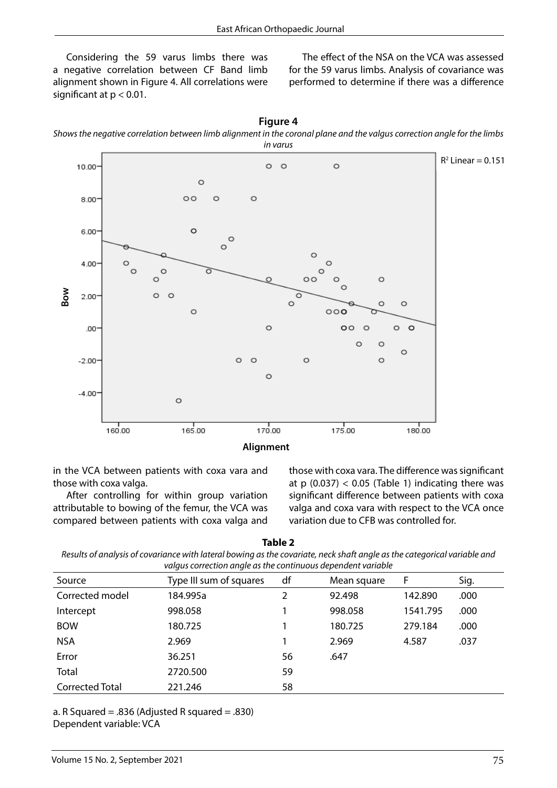Considering the 59 varus limbs there was a negative correlation between CF Band limb alignment shown in Figure 4. All correlations were significant at p < 0.01.

The effect of the NSA on the VCA was assessed for the 59 varus limbs. Analysis of covariance was performed to determine if there was a difference





in the VCA between patients with coxa vara and those with coxa valga.

After controlling for within group variation attributable to bowing of the femur, the VCA was compared between patients with coxa valga and those with coxa vara. The difference was significant at  $p(0.037) < 0.05$  (Table 1) indicating there was significant difference between patients with coxa valga and coxa vara with respect to the VCA once variation due to CFB was controlled for.

| Table 2                                                                                                                  |
|--------------------------------------------------------------------------------------------------------------------------|
| Results of analysis of covariance with lateral bowing as the covariate, neck shaft angle as the categorical variable and |
| valaus correction angle as the continuous dependent variable                                                             |

| raigas correction angle as the continuous aependent randole |    |             |          |      |  |  |  |
|-------------------------------------------------------------|----|-------------|----------|------|--|--|--|
| Type III sum of squares                                     | df | Mean square | F        | Sig. |  |  |  |
| 184.995a                                                    | 2  | 92.498      | 142.890  | .000 |  |  |  |
| 998.058                                                     |    | 998.058     | 1541.795 | .000 |  |  |  |
| 180.725                                                     |    | 180.725     | 279.184  | .000 |  |  |  |
| 2.969                                                       |    | 2.969       | 4.587    | .037 |  |  |  |
| 36.251                                                      | 56 | .647        |          |      |  |  |  |
| 2720.500                                                    | 59 |             |          |      |  |  |  |
| 221.246                                                     | 58 |             |          |      |  |  |  |
|                                                             |    |             |          |      |  |  |  |

a. R Squared = .836 (Adjusted R squared = .830)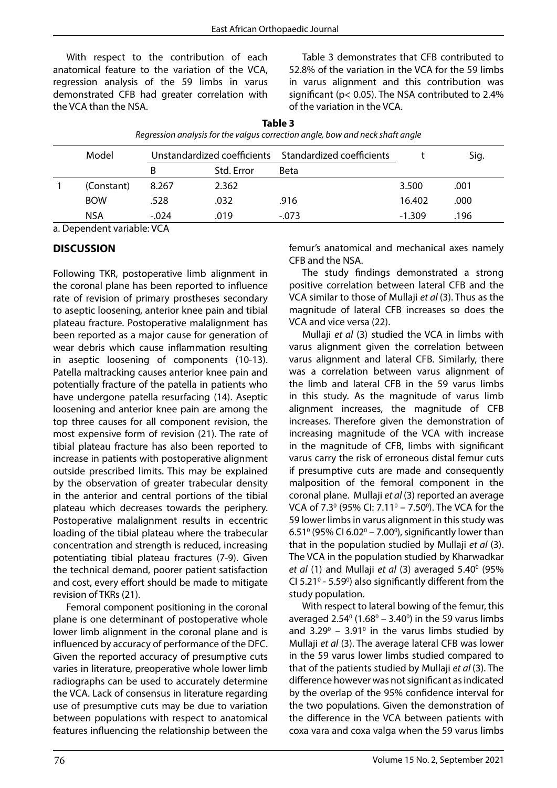With respect to the contribution of each anatomical feature to the variation of the VCA, regression analysis of the 59 limbs in varus demonstrated CFB had greater correlation with the VCA than the NSA.

Table 3 demonstrates that CFB contributed to 52.8% of the variation in the VCA for the 59 limbs in varus alignment and this contribution was significant (p< 0.05). The NSA contributed to 2.4% of the variation in the VCA.

| Model | Unstandardized coefficients Standardized coefficients |            |             |         | Sig.     |      |
|-------|-------------------------------------------------------|------------|-------------|---------|----------|------|
|       | В                                                     | Std. Error | <b>Beta</b> |         |          |      |
|       | (Constant)                                            | 8.267      | 2.362       |         | 3.500    | .001 |
|       | <b>BOW</b>                                            | .528       | .032        | .916    | 16.402   | .000 |
|       | <b>NSA</b>                                            | $-.024$    | .019        | $-.073$ | $-1.309$ | .196 |

**Table 3** *Regression analysis for the valgus correction angle, bow and neck shaft angle*

a. Dependent variable: VCA

#### **DISCUSSION**

Following TKR, postoperative limb alignment in the coronal plane has been reported to influence rate of revision of primary prostheses secondary to aseptic loosening, anterior knee pain and tibial plateau fracture. Postoperative malalignment has been reported as a major cause for generation of wear debris which cause inflammation resulting in aseptic loosening of components (10-13). Patella maltracking causes anterior knee pain and potentially fracture of the patella in patients who have undergone patella resurfacing (14). Aseptic loosening and anterior knee pain are among the top three causes for all component revision, the most expensive form of revision (21). The rate of tibial plateau fracture has also been reported to increase in patients with postoperative alignment outside prescribed limits. This may be explained by the observation of greater trabecular density in the anterior and central portions of the tibial plateau which decreases towards the periphery. Postoperative malalignment results in eccentric loading of the tibial plateau where the trabecular concentration and strength is reduced, increasing potentiating tibial plateau fractures (7-9). Given the technical demand, poorer patient satisfaction and cost, every effort should be made to mitigate revision of TKRs (21).

Femoral component positioning in the coronal plane is one determinant of postoperative whole lower limb alignment in the coronal plane and is influenced by accuracy of performance of the DFC. Given the reported accuracy of presumptive cuts varies in literature, preoperative whole lower limb radiographs can be used to accurately determine the VCA. Lack of consensus in literature regarding use of presumptive cuts may be due to variation between populations with respect to anatomical features influencing the relationship between the femur's anatomical and mechanical axes namely CFB and the NSA.

The study findings demonstrated a strong positive correlation between lateral CFB and the VCA similar to those of Mullaji *et al* (3). Thus as the magnitude of lateral CFB increases so does the VCA and vice versa (22).

Mullaji *et al* (3) studied the VCA in limbs with varus alignment given the correlation between varus alignment and lateral CFB. Similarly, there was a correlation between varus alignment of the limb and lateral CFB in the 59 varus limbs in this study. As the magnitude of varus limb alignment increases, the magnitude of CFB increases. Therefore given the demonstration of increasing magnitude of the VCA with increase in the magnitude of CFB, limbs with significant varus carry the risk of erroneous distal femur cuts if presumptive cuts are made and consequently malposition of the femoral component in the coronal plane. Mullaji *et al* (3) reported an average VCA of 7.3º (95% CI: 7.11º – 7.50º). The VCA for the 59 lower limbs in varus alignment in this study was 6.51<sup>°</sup> (95% CI 6.02<sup>°</sup> – 7.00<sup>°</sup>), significantly lower than that in the population studied by Mullaji *et al* (3). The VCA in the population studied by Kharwadkar et al (1) and Mullaji et al (3) averaged 5.40<sup>o</sup> (95% CI  $5.21^\circ$  - 5.59 $^\circ$ ) also significantly different from the study population.

With respect to lateral bowing of the femur, this averaged  $2.54^{\circ}$  (1.68 $^{\circ}$  – 3.40 $^{\circ}$ ) in the 59 varus limbs and  $3.29^{\circ}$  –  $3.91^{\circ}$  in the varus limbs studied by Mullaji *et al* (3). The average lateral CFB was lower in the 59 varus lower limbs studied compared to that of the patients studied by Mullaji *et al* (3). The difference however was not significant as indicated by the overlap of the 95% confidence interval for the two populations. Given the demonstration of the difference in the VCA between patients with coxa vara and coxa valga when the 59 varus limbs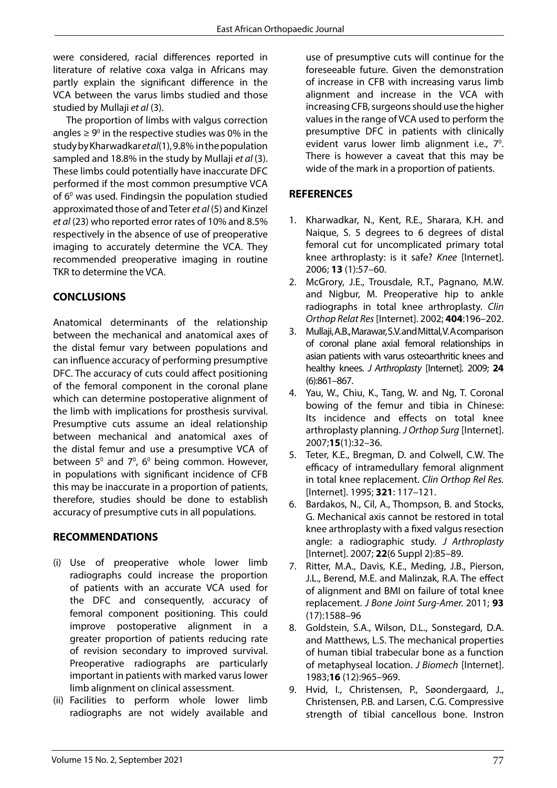were considered, racial differences reported in literature of relative coxa valga in Africans may partly explain the significant difference in the VCA between the varus limbs studied and those studied by Mullaji *et al* (3).

The proportion of limbs with valgus correction angles  $\geq 9^{\circ}$  in the respective studies was 0% in the study by Kharwadkar *et al*(1), 9.8% in the population sampled and 18.8% in the study by Mullaji *et al* (3). These limbs could potentially have inaccurate DFC performed if the most common presumptive VCA of  $6^{\circ}$  was used. Findingsin the population studied approximated those of and Teter *et al* (5) and Kinzel *et al* (23) who reported error rates of 10% and 8.5% respectively in the absence of use of preoperative imaging to accurately determine the VCA. They recommended preoperative imaging in routine TKR to determine the VCA.

## **CONCLUSIONS**

Anatomical determinants of the relationship between the mechanical and anatomical axes of the distal femur vary between populations and can influence accuracy of performing presumptive DFC. The accuracy of cuts could affect positioning of the femoral component in the coronal plane which can determine postoperative alignment of the limb with implications for prosthesis survival. Presumptive cuts assume an ideal relationship between mechanical and anatomical axes of the distal femur and use a presumptive VCA of between  $5^{\circ}$  and  $7^{\circ}$ , 6 $^{\circ}$  being common. However, in populations with significant incidence of CFB this may be inaccurate in a proportion of patients, therefore, studies should be done to establish accuracy of presumptive cuts in all populations.

### **RECOMMENDATIONS**

- (i) Use of preoperative whole lower limb radiographs could increase the proportion of patients with an accurate VCA used for the DFC and consequently, accuracy of femoral component positioning. This could improve postoperative alignment in a greater proportion of patients reducing rate of revision secondary to improved survival. Preoperative radiographs are particularly important in patients with marked varus lower limb alignment on clinical assessment.
- (ii) Facilities to perform whole lower limb radiographs are not widely available and

use of presumptive cuts will continue for the foreseeable future. Given the demonstration of increase in CFB with increasing varus limb alignment and increase in the VCA with increasing CFB, surgeons should use the higher values in the range of VCA used to perform the presumptive DFC in patients with clinically evident varus lower limb alignment i.e., 7<sup>0</sup>. There is however a caveat that this may be wide of the mark in a proportion of patients.

### **REFERENCES**

- 1. Kharwadkar, N., Kent, R.E., Sharara, K.H. and Naique, S. 5 degrees to 6 degrees of distal femoral cut for uncomplicated primary total knee arthroplasty: is it safe? *Knee* [Internet]. 2006; **13** (1):57–60.
- 2. McGrory, J.E., Trousdale, R.T., Pagnano, M.W. and Nigbur, M. Preoperative hip to ankle radiographs in total knee arthroplasty. *Clin Orthop Relat Res* [Internet]. 2002; **404**:196–202.
- 3. Mullaji, A.B., Marawar, S.V. and Mittal, V. A comparison of coronal plane axial femoral relationships in asian patients with varus osteoarthritic knees and healthy knees. *J Arthroplasty* [Internet]. 2009; **24**  (6):861–867.
- 4. Yau, W., Chiu, K., Tang, W. and Ng, T. Coronal bowing of the femur and tibia in Chinese: Its incidence and effects on total knee arthroplasty planning. *J Orthop Surg* [Internet]. 2007;**15**(1):32–36.
- 5. Teter, K.E., Bregman, D. and Colwell, C.W. The efficacy of intramedullary femoral alignment in total knee replacement. *Clin Orthop Rel Res.* [Internet]. 1995; **321**: 117–121.
- 6. Bardakos, N., Cil, A., Thompson, B. and Stocks, G. Mechanical axis cannot be restored in total knee arthroplasty with a fixed valgus resection angle: a radiographic study. *J Arthroplasty* [Internet]. 2007; **22**(6 Suppl 2):85–89.
- 7. Ritter, M.A., Davis, K.E., Meding, J.B., Pierson, J.L., Berend, M.E. and Malinzak, R.A. The effect of alignment and BMI on failure of total knee replacement. *J Bone Joint Surg-Amer.* 2011; **93**  (17):1588–96
- 8. Goldstein, S.A., Wilson, D.L., Sonstegard, D.A. and Matthews, L.S. The mechanical properties of human tibial trabecular bone as a function of metaphyseal location. *J Biomech* [Internet]. 1983;**16** (12):965–969.
- 9. Hvid, I., Christensen, P., Søondergaard, J., Christensen, P.B. and Larsen, C.G. Compressive strength of tibial cancellous bone. Instron